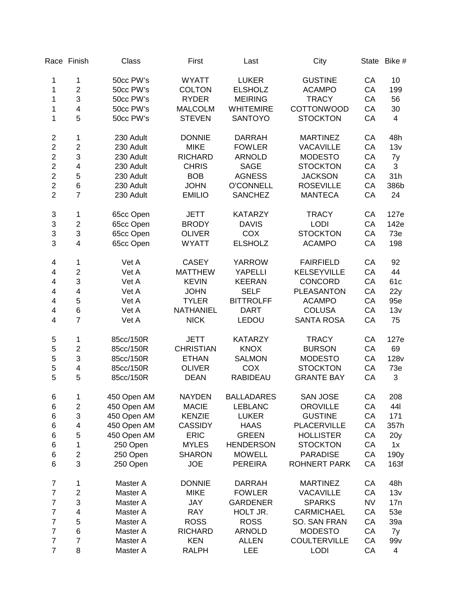|                  | Race Finish             | Class       | First            | Last              | City                |           | State Bike #     |
|------------------|-------------------------|-------------|------------------|-------------------|---------------------|-----------|------------------|
| 1                | $\mathbf 1$             | 50cc PW's   | <b>WYATT</b>     | <b>LUKER</b>      | <b>GUSTINE</b>      | CA        | 10               |
| 1                | $\overline{c}$          | 50cc PW's   | <b>COLTON</b>    | <b>ELSHOLZ</b>    | <b>ACAMPO</b>       | CA        | 199              |
| 1                | 3                       | 50cc PW's   | <b>RYDER</b>     | <b>MEIRING</b>    | <b>TRACY</b>        | CA        | 56               |
| 1                | $\overline{\mathbf{4}}$ | 50cc PW's   | <b>MALCOLM</b>   | <b>WHITEMIRE</b>  | <b>COTTONWOOD</b>   | CA        | 30               |
| 1                | 5                       | 50cc PW's   | <b>STEVEN</b>    | SANTOYO           | <b>STOCKTON</b>     | CA        | 4                |
|                  |                         |             |                  |                   |                     |           |                  |
| $\mathbf 2$      | $\mathbf 1$             | 230 Adult   | <b>DONNIE</b>    | <b>DARRAH</b>     | <b>MARTINEZ</b>     | CA        | 48h              |
| $\overline{c}$   | $\overline{\mathbf{c}}$ | 230 Adult   | <b>MIKE</b>      | <b>FOWLER</b>     | <b>VACAVILLE</b>    | CA        | 13v              |
| $\overline{2}$   | 3                       | 230 Adult   | <b>RICHARD</b>   | <b>ARNOLD</b>     | <b>MODESTO</b>      | CA        | 7y               |
| $\overline{c}$   | 4                       | 230 Adult   | <b>CHRIS</b>     | <b>SAGE</b>       | <b>STOCKTON</b>     | CA        | 3                |
| $\overline{2}$   | 5                       | 230 Adult   | <b>BOB</b>       | <b>AGNESS</b>     | <b>JACKSON</b>      | CA        | 31h              |
| $\overline{c}$   | 6                       | 230 Adult   | <b>JOHN</b>      | <b>O'CONNELL</b>  | <b>ROSEVILLE</b>    | CA        | 386b             |
| $\overline{2}$   | $\overline{7}$          | 230 Adult   | <b>EMILIO</b>    | <b>SANCHEZ</b>    | <b>MANTECA</b>      | CA        | 24               |
| 3                | $\mathbf 1$             | 65cc Open   | <b>JETT</b>      | <b>KATARZY</b>    | <b>TRACY</b>        | CA        | 127e             |
| 3                | $\overline{c}$          | 65cc Open   | <b>BRODY</b>     | <b>DAVIS</b>      | <b>LODI</b>         | CA        | 142e             |
| 3                | 3                       | 65cc Open   | <b>OLIVER</b>    | COX               | <b>STOCKTON</b>     | CA        | 73e              |
| 3                | $\overline{\mathbf{4}}$ | 65cc Open   | <b>WYATT</b>     | <b>ELSHOLZ</b>    | <b>ACAMPO</b>       | CA        | 198              |
| 4                | $\mathbf 1$             | Vet A       | <b>CASEY</b>     | <b>YARROW</b>     | <b>FAIRFIELD</b>    | CA        | 92               |
| 4                | $\overline{\mathbf{c}}$ | Vet A       | <b>MATTHEW</b>   | YAPELLI           | KELSEYVILLE         | CA        | 44               |
| 4                | 3                       | Vet A       | <b>KEVIN</b>     | <b>KEERAN</b>     | CONCORD             | CA        | 61c              |
| 4                | $\overline{\mathbf{4}}$ | Vet A       | <b>JOHN</b>      | <b>SELF</b>       | <b>PLEASANTON</b>   | CA        | 22y              |
| 4                | 5                       | Vet A       | <b>TYLER</b>     | <b>BITTROLFF</b>  | <b>ACAMPO</b>       | CA        | 95e              |
| 4                | 6                       | Vet A       | <b>NATHANIEL</b> | <b>DART</b>       | <b>COLUSA</b>       | CA        | 13v              |
| 4                | $\overline{7}$          | Vet A       | <b>NICK</b>      | LEDOU             | <b>SANTA ROSA</b>   | CA        | 75               |
|                  |                         |             |                  |                   |                     |           |                  |
| 5                | 1                       | 85cc/150R   | <b>JETT</b>      | <b>KATARZY</b>    | <b>TRACY</b>        | CA        | 127e             |
| 5                | $\overline{\mathbf{c}}$ | 85cc/150R   | <b>CHRISTIAN</b> | <b>KNOX</b>       | <b>BURSON</b>       | CA        | 69               |
| 5                | 3                       | 85cc/150R   | <b>ETHAN</b>     | <b>SALMON</b>     | <b>MODESTO</b>      | CA        | 128 <sub>v</sub> |
| 5                | 4                       | 85cc/150R   | <b>OLIVER</b>    | COX               | <b>STOCKTON</b>     | CA        | 73e              |
| 5                | 5                       | 85cc/150R   | <b>DEAN</b>      | <b>RABIDEAU</b>   | <b>GRANTE BAY</b>   | CA        | 3                |
| 6                | 1                       | 450 Open AM | <b>NAYDEN</b>    | <b>BALLADARES</b> | <b>SAN JOSE</b>     | CA        | 208              |
| $\,6$            | $\overline{\mathbf{c}}$ | 450 Open AM | <b>MACIE</b>     | <b>LEBLANC</b>    | <b>OROVILLE</b>     | CA        | 441              |
| 6                | 3                       | 450 Open AM | <b>KENZIE</b>    | <b>LUKER</b>      | <b>GUSTINE</b>      | CA        | 171              |
| $\,6$            | $\overline{\mathbf{4}}$ | 450 Open AM | <b>CASSIDY</b>   | <b>HAAS</b>       | <b>PLACERVILLE</b>  | CA        | 357h             |
| 6                | 5                       | 450 Open AM | <b>ERIC</b>      | <b>GREEN</b>      | <b>HOLLISTER</b>    | CA        | 20 <sub>y</sub>  |
| 6                | $\mathbf{1}$            | 250 Open    | <b>MYLES</b>     | <b>HENDERSON</b>  | <b>STOCKTON</b>     | CA        | 1x               |
| 6                | $\overline{c}$          | 250 Open    | <b>SHARON</b>    | <b>MOWELL</b>     | <b>PARADISE</b>     | CA        | 190y             |
| $6\phantom{1}$   | 3                       | 250 Open    | <b>JOE</b>       | <b>PEREIRA</b>    | <b>ROHNERT PARK</b> | CA        | 163f             |
| 7                | 1                       | Master A    | <b>DONNIE</b>    | <b>DARRAH</b>     | <b>MARTINEZ</b>     | СA        | 48h              |
| $\overline{7}$   | $\overline{c}$          | Master A    | <b>MIKE</b>      | <b>FOWLER</b>     | <b>VACAVILLE</b>    | CA        | 13v              |
| $\overline{7}$   | 3                       | Master A    | <b>JAY</b>       | <b>GARDENER</b>   | <b>SPARKS</b>       | <b>NV</b> | 17n              |
| $\overline{7}$   | 4                       | Master A    | <b>RAY</b>       | HOLT JR.          | <b>CARMICHAEL</b>   | CA        | 53e              |
| $\overline{7}$   | 5                       | Master A    | <b>ROSS</b>      | <b>ROSS</b>       | SO. SAN FRAN        | CA        | 39a              |
| $\overline{7}$   | 6                       | Master A    | <b>RICHARD</b>   | <b>ARNOLD</b>     | <b>MODESTO</b>      | CA        |                  |
| $\boldsymbol{7}$ | $\overline{7}$          | Master A    | <b>KEN</b>       | <b>ALLEN</b>      | <b>COULTERVILLE</b> | CA        | 7y               |
| $\overline{7}$   |                         |             |                  |                   |                     |           | 99v              |
|                  | 8                       | Master A    | <b>RALPH</b>     | LEE               | <b>LODI</b>         | CA        | 4                |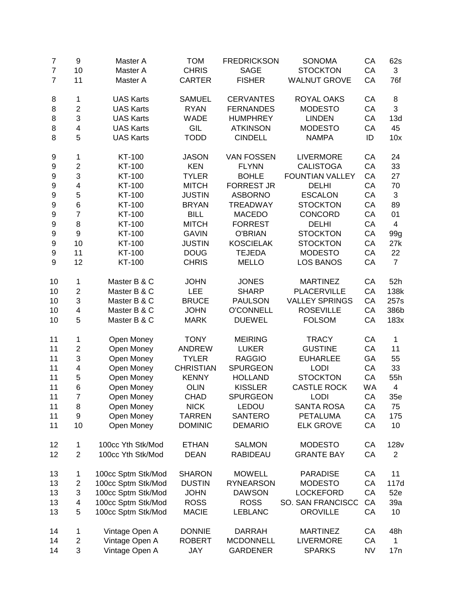| $\overline{7}$ | 9                       | Master A           | <b>TOM</b>       | <b>FREDRICKSON</b> | SONOMA                 | CA        | 62s              |
|----------------|-------------------------|--------------------|------------------|--------------------|------------------------|-----------|------------------|
| $\overline{7}$ | 10                      | Master A           | <b>CHRIS</b>     | <b>SAGE</b>        | <b>STOCKTON</b>        | CA        | 3                |
| $\overline{7}$ | 11                      | Master A           | <b>CARTER</b>    | <b>FISHER</b>      | <b>WALNUT GROVE</b>    | CA        | 76f              |
| 8              | 1                       | <b>UAS Karts</b>   | <b>SAMUEL</b>    | <b>CERVANTES</b>   | <b>ROYAL OAKS</b>      | CA        | 8                |
| 8              | $\overline{c}$          | <b>UAS Karts</b>   | <b>RYAN</b>      | <b>FERNANDES</b>   | <b>MODESTO</b>         | CA        | 3                |
| 8              | 3                       | <b>UAS Karts</b>   | <b>WADE</b>      | <b>HUMPHREY</b>    | <b>LINDEN</b>          | CA        | 13d              |
| 8              | 4                       | <b>UAS Karts</b>   | GIL              | <b>ATKINSON</b>    | <b>MODESTO</b>         | CA        | 45               |
| 8              | 5                       | <b>UAS Karts</b>   | <b>TODD</b>      | <b>CINDELL</b>     | <b>NAMPA</b>           | ID        | 10x              |
| 9              | 1                       | KT-100             | <b>JASON</b>     | <b>VAN FOSSEN</b>  | <b>LIVERMORE</b>       | CA        | 24               |
| 9              | $\overline{\mathbf{c}}$ | KT-100             | <b>KEN</b>       | <b>FLYNN</b>       | <b>CALISTOGA</b>       | CA        | 33               |
| 9              | 3                       | KT-100             | <b>TYLER</b>     | <b>BOHLE</b>       | <b>FOUNTIAN VALLEY</b> | CA        | 27               |
| 9              | 4                       | KT-100             | <b>MITCH</b>     | <b>FORREST JR</b>  | <b>DELHI</b>           | CA        | 70               |
| 9              | 5                       | KT-100             | <b>JUSTIN</b>    | <b>ASBORNO</b>     | <b>ESCALON</b>         | CA        | 3                |
| 9              | 6                       | KT-100             | <b>BRYAN</b>     | <b>TREADWAY</b>    | <b>STOCKTON</b>        | CA        | 89               |
| 9              | $\overline{7}$          | KT-100             | <b>BILL</b>      | <b>MACEDO</b>      | <b>CONCORD</b>         | CA        | 01               |
| 9              | 8                       | KT-100             | <b>MITCH</b>     | <b>FORREST</b>     | <b>DELHI</b>           | CA        | 4                |
| 9              | 9                       | KT-100             | <b>GAVIN</b>     | <b>O'BRIAN</b>     | <b>STOCKTON</b>        | CA        | 99g              |
| 9              | 10                      | KT-100             | <b>JUSTIN</b>    | <b>KOSCIELAK</b>   | <b>STOCKTON</b>        | CA        | 27k              |
| 9              | 11                      | KT-100             | <b>DOUG</b>      | <b>TEJEDA</b>      | <b>MODESTO</b>         | CA        | 22               |
| 9              | 12                      | KT-100             | <b>CHRIS</b>     | <b>MELLO</b>       | <b>LOS BANOS</b>       | CA        | $\overline{7}$   |
| 10             | 1                       | Master B & C       | <b>JOHN</b>      | <b>JONES</b>       | <b>MARTINEZ</b>        | CA        | 52h              |
| 10             | $\overline{2}$          | Master B & C       | <b>LEE</b>       | <b>SHARP</b>       | <b>PLACERVILLE</b>     | CA        | 138k             |
| 10             | 3                       | Master B & C       | <b>BRUCE</b>     | <b>PAULSON</b>     | <b>VALLEY SPRINGS</b>  | CA        | 257s             |
| 10             | 4                       | Master B & C       | <b>JOHN</b>      | <b>O'CONNELL</b>   | <b>ROSEVILLE</b>       | CA        | 386b             |
| 10             | 5                       | Master B & C       | <b>MARK</b>      | <b>DUEWEL</b>      | <b>FOLSOM</b>          | CA        | 183x             |
| 11             | 1                       | Open Money         | <b>TONY</b>      | <b>MEIRING</b>     | <b>TRACY</b>           | CA        | 1                |
| 11             | $\overline{c}$          | Open Money         | <b>ANDREW</b>    | <b>LUKER</b>       | <b>GUSTINE</b>         | CA        | 11               |
| 11             | 3                       | Open Money         | <b>TYLER</b>     | <b>RAGGIO</b>      | <b>EUHARLEE</b>        | GA        | 55               |
| 11             | $\overline{\mathbf{4}}$ | Open Money         | <b>CHRISTIAN</b> | <b>SPURGEON</b>    | <b>LODI</b>            | CA        | 33               |
| 11             | 5                       | Open Money         | <b>KENNY</b>     | <b>HOLLAND</b>     | <b>STOCKTON</b>        | CA        | 55h              |
| 11             | 6                       | Open Money         | <b>OLIN</b>      | <b>KISSLER</b>     | <b>CASTLE ROCK</b>     | WA        | 4                |
| 11             | $\overline{7}$          | Open Money         | <b>CHAD</b>      | <b>SPURGEON</b>    | <b>LODI</b>            | CA        | 35e              |
| 11             | 8                       | Open Money         | <b>NICK</b>      | LEDOU              | <b>SANTA ROSA</b>      | CA        | 75               |
| 11             | 9                       | Open Money         | <b>TARREN</b>    | <b>SANTERO</b>     | <b>PETALUMA</b>        | CA        | 175              |
| 11             | 10                      | Open Money         | <b>DOMINIC</b>   | <b>DEMARIO</b>     | <b>ELK GROVE</b>       | CA        | 10               |
| 12             | 1                       | 100cc Yth Stk/Mod  | <b>ETHAN</b>     | <b>SALMON</b>      | <b>MODESTO</b>         | CA        | 128 <sub>v</sub> |
| 12             | $\overline{2}$          | 100cc Yth Stk/Mod  | <b>DEAN</b>      | RABIDEAU           | <b>GRANTE BAY</b>      | CA        | $\overline{2}$   |
| 13             | 1                       | 100cc Sptm Stk/Mod | <b>SHARON</b>    | <b>MOWELL</b>      | <b>PARADISE</b>        | CA        | 11               |
| 13             | 2                       | 100cc Sptm Stk/Mod | <b>DUSTIN</b>    | <b>RYNEARSON</b>   | <b>MODESTO</b>         | CA        | 117d             |
| 13             | 3                       | 100cc Sptm Stk/Mod | <b>JOHN</b>      | <b>DAWSON</b>      | <b>LOCKEFORD</b>       | CA        | 52e              |
| 13             | 4                       | 100cc Sptm Stk/Mod | <b>ROSS</b>      | <b>ROSS</b>        | SO. SAN FRANCISCC      | CA        | 39a              |
| 13             | 5                       | 100cc Sptm Stk/Mod | <b>MACIE</b>     | <b>LEBLANC</b>     | <b>OROVILLE</b>        | CA        | 10               |
| 14             | 1                       | Vintage Open A     | <b>DONNIE</b>    | <b>DARRAH</b>      | <b>MARTINEZ</b>        | CA        | 48h              |
| 14             | $\overline{\mathbf{c}}$ | Vintage Open A     | <b>ROBERT</b>    | <b>MCDONNELL</b>   | <b>LIVERMORE</b>       | CA        | $\mathbf 1$      |
| 14             | 3                       | Vintage Open A     | JAY              | <b>GARDENER</b>    | <b>SPARKS</b>          | <b>NV</b> | 17n              |